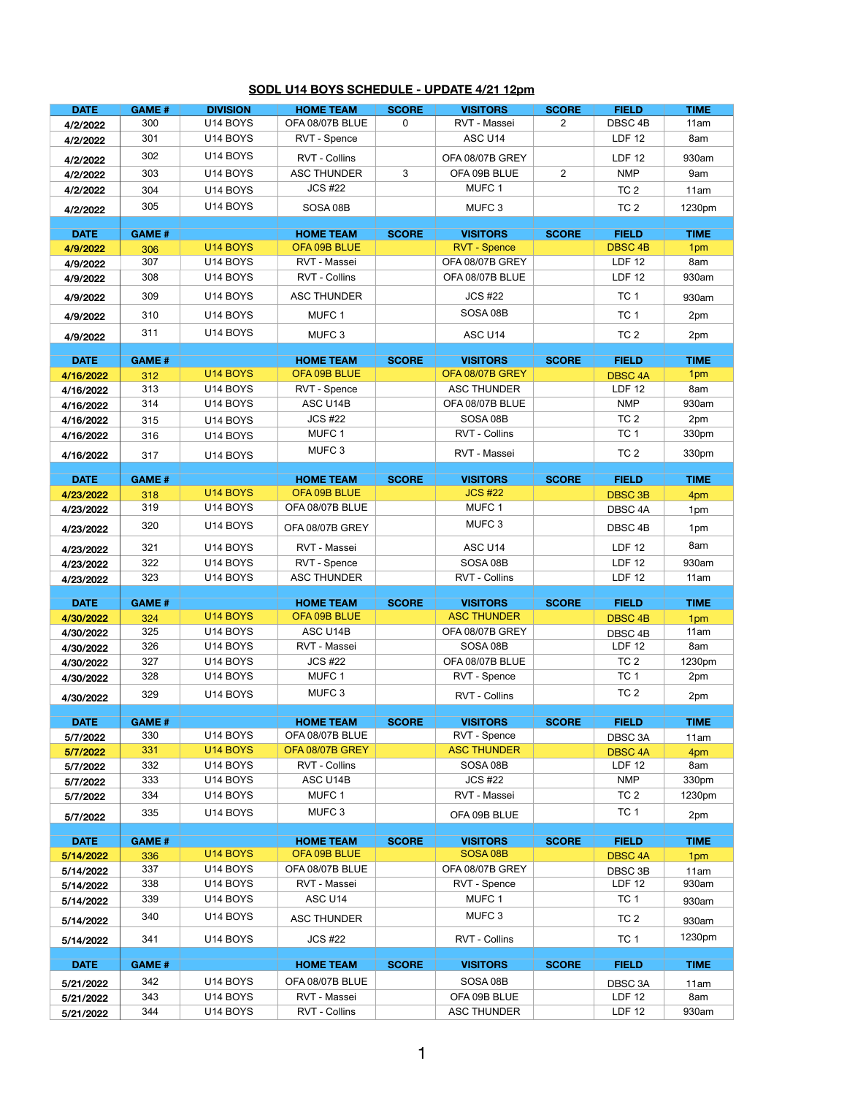| <b>DATE</b>            | <b>GAME#</b>        | <b>DIVISION</b>      | <b>HOME TEAM</b>                    | <b>SCORE</b> | <b>VISITORS</b>                        | <b>SCORE</b>   | <b>FIELD</b>                    | <b>TIME</b>        |
|------------------------|---------------------|----------------------|-------------------------------------|--------------|----------------------------------------|----------------|---------------------------------|--------------------|
| 4/2/2022               | 300                 | U14 BOYS             | OFA 08/07B BLUE                     | 0            | RVT - Massei                           | $\overline{2}$ | DBSC <sub>4B</sub>              | 11am               |
| 4/2/2022               | 301                 | U14 BOYS             | RVT - Spence                        |              | ASC U14                                |                | <b>LDF 12</b>                   | 8am                |
|                        |                     |                      |                                     |              |                                        |                |                                 |                    |
| 4/2/2022               | 302                 | U14 BOYS             | RVT - Collins                       |              | OFA 08/07B GREY                        |                | <b>LDF 12</b>                   | 930am              |
| 4/2/2022               | 303                 | U14 BOYS             | <b>ASC THUNDER</b>                  | $\mathbf{3}$ | OFA 09B BLUE                           | $\overline{2}$ | <b>NMP</b>                      | 9am                |
| 4/2/2022               | 304                 | U14 BOYS             | <b>JCS #22</b>                      |              | MUFC 1                                 |                | TC <sub>2</sub>                 | 11am               |
| 4/2/2022               | 305                 | U14 BOYS             | SOSA 08B                            |              | MUFC <sub>3</sub>                      |                | TC <sub>2</sub>                 | 1230pm             |
|                        |                     |                      |                                     |              |                                        |                |                                 |                    |
| <b>DATE</b>            | <b>GAME#</b>        | U14 BOYS             | <b>HOME TEAM</b><br>OFA 09B BLUE    | <b>SCORE</b> | <b>VISITORS</b><br><b>RVT - Spence</b> | <b>SCORE</b>   | <b>FIELD</b><br><b>DBSC 4B</b>  | <b>TIME</b><br>1pm |
| 4/9/2022               | 306<br>307          | U14 BOYS             | RVT - Massei                        |              | OFA 08/07B GREY                        |                | <b>LDF 12</b>                   | 8am                |
| 4/9/2022               | 308                 | U14 BOYS             | RVT - Collins                       |              | OFA 08/07B BLUE                        |                | <b>LDF 12</b>                   | 930am              |
| 4/9/2022               |                     |                      |                                     |              |                                        |                |                                 |                    |
| 4/9/2022               | 309                 | U14 BOYS             | <b>ASC THUNDER</b>                  |              | <b>JCS #22</b>                         |                | TC <sub>1</sub>                 | 930am              |
| 4/9/2022               | 310                 | U14 BOYS             | MUFC 1                              |              | SOSA 08B                               |                | TC <sub>1</sub>                 | 2pm                |
| 4/9/2022               | 311                 | U14 BOYS             | MUFC <sub>3</sub>                   |              | ASC U14                                |                | TC <sub>2</sub>                 | 2pm                |
|                        |                     |                      |                                     |              |                                        |                |                                 |                    |
| <b>DATE</b>            | <b>GAME#</b>        |                      | <b>HOME TEAM</b>                    | <b>SCORE</b> | <b>VISITORS</b>                        | <b>SCORE</b>   | <b>FIELD</b>                    | <b>TIME</b>        |
| 4/16/2022              | 312                 | U14 BOYS             | OFA 09B BLUE                        |              | OFA 08/07B GREY                        |                | <b>DBSC 4A</b>                  | 1pm                |
| 4/16/2022              | 313                 | U14 BOYS             | RVT - Spence                        |              | <b>ASC THUNDER</b>                     |                | <b>LDF 12</b>                   | 8am                |
| 4/16/2022              | 314                 | U14 BOYS             | ASC U14B                            |              | OFA 08/07B BLUE                        |                | <b>NMP</b>                      | 930am              |
| 4/16/2022              | 315                 | U14 BOYS             | <b>JCS #22</b>                      |              | SOSA 08B                               |                | TC <sub>2</sub>                 | 2pm                |
| 4/16/2022              | 316                 | U14 BOYS             | MUFC 1                              |              | RVT - Collins                          |                | TC <sub>1</sub>                 | 330pm              |
| 4/16/2022              | 317                 | U14 BOYS             | MUFC <sub>3</sub>                   |              | RVT - Massei                           |                | TC <sub>2</sub>                 | 330pm              |
| <b>DATE</b>            | <b>GAME#</b>        |                      | <b>HOME TEAM</b>                    | <b>SCORE</b> | <b>VISITORS</b>                        | <b>SCORE</b>   | <b>FIELD</b>                    | <b>TIME</b>        |
| 4/23/2022              | 318                 | U14 BOYS             | OFA 09B BLUE                        |              | <b>JCS #22</b>                         |                | <b>DBSC 3B</b>                  | 4pm                |
| 4/23/2022              | 319                 | U14 BOYS             | OFA 08/07B BLUE                     |              | MUFC 1                                 |                | DBSC 4A                         | 1pm                |
| 4/23/2022              | 320                 | U14 BOYS             | OFA 08/07B GREY                     |              | MUFC <sub>3</sub>                      |                | DBSC 4B                         | 1pm                |
| 4/23/2022              | 321                 | U14 BOYS             | RVT - Massei                        |              | ASC U14                                |                | LDF 12                          | 8am                |
| 4/23/2022              | 322                 | U14 BOYS             | RVT - Spence                        |              | SOSA 08B                               |                | <b>LDF 12</b>                   | 930am              |
| 4/23/2022              | 323                 | U14 BOYS             | <b>ASC THUNDER</b>                  |              | RVT - Collins                          |                | <b>LDF 12</b>                   | 11am               |
|                        |                     |                      |                                     |              |                                        |                |                                 |                    |
| <b>DATE</b>            | <b>GAME#</b>        |                      | <b>HOME TEAM</b>                    | <b>SCORE</b> | <b>VISITORS</b>                        | <b>SCORE</b>   | <b>FIELD</b>                    | <b>TIME</b>        |
| 4/30/2022              | 324                 | U14 BOYS             | OFA 09B BLUE                        |              | <b>ASC THUNDER</b>                     |                | <b>DBSC 4B</b>                  | 1pm                |
| 4/30/2022              | 325                 | U14 BOYS             | ASC U14B                            |              | OFA 08/07B GREY                        |                | DBSC 4B                         | 11am               |
| 4/30/2022              | 326                 | U14 BOYS             | RVT - Massei                        |              | SOSA 08B                               |                | <b>LDF 12</b>                   | 8am                |
| 4/30/2022              | 327                 | U14 BOYS             | <b>JCS #22</b>                      |              | OFA 08/07B BLUE                        |                | TC <sub>2</sub>                 | 1230pm             |
| 4/30/2022              | 328                 | U14 BOYS             | MUFC 1                              |              | RVT - Spence                           |                | TC <sub>1</sub>                 | 2pm                |
| 4/30/2022              | 329                 | U14 BOYS             | MUFC <sub>3</sub>                   |              | RVT - Collins                          |                | TC <sub>2</sub>                 | 2pm                |
|                        |                     |                      |                                     |              |                                        |                |                                 |                    |
| <b>DATE</b>            | <b>GAME#</b><br>330 | U14 BOYS             | <b>HOME TEAM</b><br>OFA 08/07B BLUE | <b>SCORE</b> | <b>VISITORS</b>                        | <b>SCORE</b>   | <b>FIELD</b>                    | <b>TIME</b>        |
| 5/7/2022               | 331                 | U14 BOYS             | OFA 08/07B GREY                     |              | RVT - Spence<br><b>ASC THUNDER</b>     |                | DBSC 3A                         | 11am               |
| 5/7/2022               | 332                 | U14 BOYS             | RVT - Collins                       |              | SOSA 08B                               |                | <b>DBSC 4A</b><br><b>LDF 12</b> | 4pm<br>8am         |
| 5/7/2022               | 333                 | U14 BOYS             | ASC U14B                            |              | <b>JCS #22</b>                         |                | <b>NMP</b>                      |                    |
| 5/7/2022               |                     |                      |                                     |              |                                        |                |                                 | 330pm              |
| 5/7/2022               | 334                 | U14 BOYS             | MUFC 1                              |              | RVT - Massei                           |                | TC <sub>2</sub>                 | 1230pm             |
| 5/7/2022               | 335                 | U14 BOYS             | MUFC <sub>3</sub>                   |              | OFA 09B BLUE                           |                | TC <sub>1</sub>                 | 2pm                |
| <b>DATE</b>            | <b>GAME#</b>        |                      | <b>HOME TEAM</b>                    | <b>SCORE</b> | <b>VISITORS</b>                        | <b>SCORE</b>   | <b>FIELD</b>                    | <b>TIME</b>        |
| 5/14/2022              | 336                 | U14 BOYS             | OFA 09B BLUE                        |              | SOSA <sub>08</sub> B                   |                | <b>DBSC 4A</b>                  | 1pm                |
| 5/14/2022              | 337                 | U14 BOYS             | OFA 08/07B BLUE                     |              | OFA 08/07B GREY                        |                | DBSC 3B                         | 11am               |
| 5/14/2022              | 338                 | U14 BOYS             | RVT - Massei                        |              | RVT - Spence                           |                | <b>LDF 12</b>                   | 930am              |
| 5/14/2022              | 339                 | U14 BOYS             | ASC U14                             |              | MUFC 1                                 |                | TC <sub>1</sub>                 | 930am              |
| 5/14/2022              | 340                 | U14 BOYS             | <b>ASC THUNDER</b>                  |              | MUFC <sub>3</sub>                      |                | TC <sub>2</sub>                 | 930am              |
| 5/14/2022              | 341                 | U14 BOYS             | <b>JCS #22</b>                      |              | RVT - Collins                          |                | TC <sub>1</sub>                 | 1230pm             |
|                        |                     |                      |                                     |              |                                        |                |                                 |                    |
| <b>DATE</b>            | <b>GAME#</b>        |                      | <b>HOME TEAM</b>                    | <b>SCORE</b> | <b>VISITORS</b>                        | <b>SCORE</b>   | <b>FIELD</b>                    | <b>TIME</b>        |
| 5/21/2022              | 342                 | U14 BOYS             | OFA 08/07B BLUE                     |              | SOSA 08B<br>OFA 09B BLUE               |                | DBSC 3A<br><b>LDF 12</b>        | 11am               |
|                        |                     |                      |                                     |              |                                        |                |                                 |                    |
| 5/21/2022<br>5/21/2022 | 343<br>344          | U14 BOYS<br>U14 BOYS | RVT - Massei<br>RVT - Collins       |              | <b>ASC THUNDER</b>                     |                | <b>LDF 12</b>                   | 8am<br>930am       |

## **SODL U14 BOYS SCHEDULE - UPDATE 4/21 12pm**